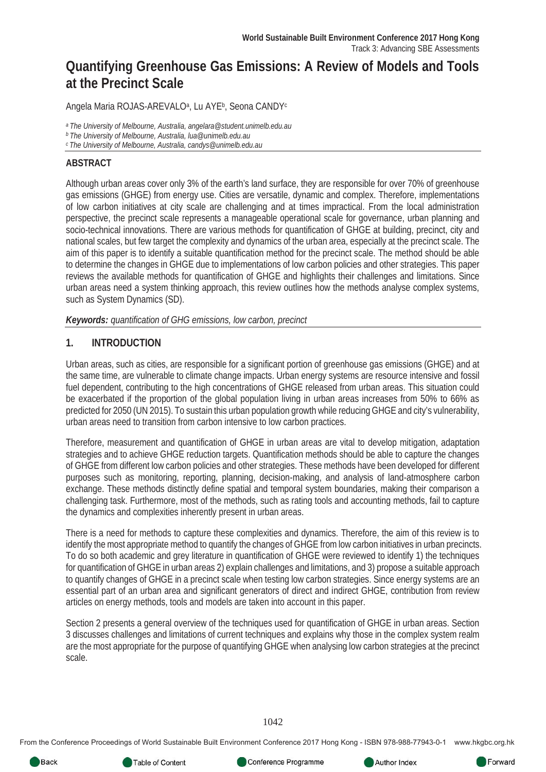# **Quantifying Greenhouse Gas Emissions: A Review of Models and Tools at the Precinct Scale**

Angela Maria ROJAS-AREVALO<sup>a</sup>, Lu AYE<sup>b</sup>, Seona CANDY<sup>c</sup>

*a The University of Melbourne, Australia, angelara@student.unimelb.edu.au b The University of Melbourne, Australia, lua@unimelb.edu.au* 

*c The University of Melbourne, Australia, candys@unimelb.edu.au* 

#### **ABSTRACT**

Although urban areas cover only 3% of the earth's land surface, they are responsible for over 70% of greenhouse gas emissions (GHGE) from energy use. Cities are versatile, dynamic and complex. Therefore, implementations of low carbon initiatives at city scale are challenging and at times impractical. From the local administration perspective, the precinct scale represents a manageable operational scale for governance, urban planning and socio-technical innovations. There are various methods for quantification of GHGE at building, precinct, city and national scales, but few target the complexity and dynamics of the urban area, especially at the precinct scale. The aim of this paper is to identify a suitable quantification method for the precinct scale. The method should be able to determine the changes in GHGE due to implementations of low carbon policies and other strategies. This paper reviews the available methods for quantification of GHGE and highlights their challenges and limitations. Since urban areas need a system thinking approach, this review outlines how the methods analyse complex systems, such as System Dynamics (SD).

*Keywords: quantification of GHG emissions, low carbon, precinct*

#### **1. INTRODUCTION**

Urban areas, such as cities, are responsible for a significant portion of greenhouse gas emissions (GHGE) and at the same time, are vulnerable to climate change impacts. Urban energy systems are resource intensive and fossil fuel dependent, contributing to the high concentrations of GHGE released from urban areas. This situation could be exacerbated if the proportion of the global population living in urban areas increases from 50% to 66% as predicted for 2050 (UN 2015). To sustain this urban population growth while reducing GHGE and city's vulnerability, urban areas need to transition from carbon intensive to low carbon practices.

Therefore, measurement and quantification of GHGE in urban areas are vital to develop mitigation, adaptation strategies and to achieve GHGE reduction targets. Quantification methods should be able to capture the changes of GHGE from different low carbon policies and other strategies. These methods have been developed for different purposes such as monitoring, reporting, planning, decision-making, and analysis of land-atmosphere carbon exchange. These methods distinctly define spatial and temporal system boundaries, making their comparison a challenging task. Furthermore, most of the methods, such as rating tools and accounting methods, fail to capture the dynamics and complexities inherently present in urban areas.

There is a need for methods to capture these complexities and dynamics. Therefore, the aim of this review is to identify the most appropriate method to quantify the changes of GHGE from low carbon initiatives in urban precincts. To do so both academic and grey literature in quantification of GHGE were reviewed to identify 1) the techniques for quantification of GHGE in urban areas 2) explain challenges and limitations, and 3) propose a suitable approach to quantify changes of GHGE in a precinct scale when testing low carbon strategies. Since energy systems are an essential part of an urban area and significant generators of direct and indirect GHGE, contribution from review articles on energy methods, tools and models are taken into account in this paper.

Section 2 presents a general overview of the techniques used for quantification of GHGE in urban areas. Section 3 discusses challenges and limitations of current techniques and explains why those in the complex system realm are the most appropriate for the purpose of quantifying GHGE when analysing low carbon strategies at the precinct scale.

1042

From the Conference Proceedings of World Sustainable Built Environment Conference 2017 Hong Kong - ISBN 978-988-77943-0-1 www.hkgbc.org.hk



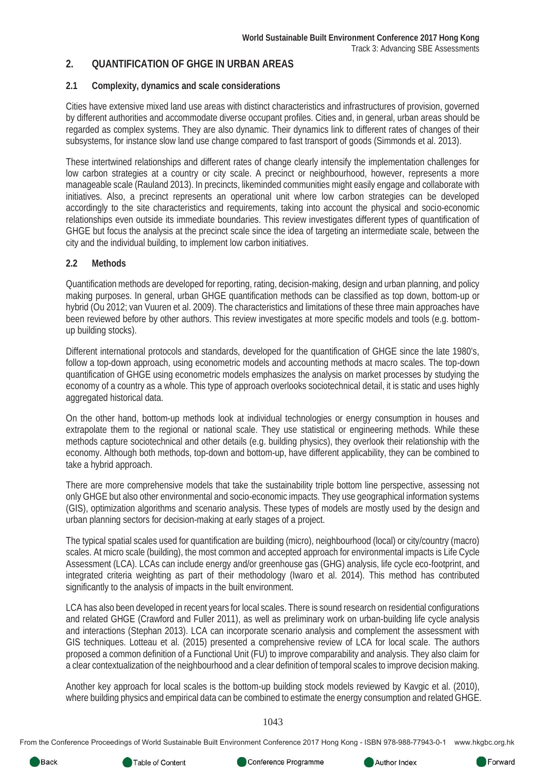#### **2. QUANTIFICATION OF GHGE IN URBAN AREAS**

#### **2.1 Complexity, dynamics and scale considerations**

Cities have extensive mixed land use areas with distinct characteristics and infrastructures of provision, governed by different authorities and accommodate diverse occupant profiles. Cities and, in general, urban areas should be regarded as complex systems. They are also dynamic. Their dynamics link to different rates of changes of their subsystems, for instance slow land use change compared to fast transport of goods (Simmonds et al. 2013).

These intertwined relationships and different rates of change clearly intensify the implementation challenges for low carbon strategies at a country or city scale. A precinct or neighbourhood, however, represents a more manageable scale (Rauland 2013). In precincts, likeminded communities might easily engage and collaborate with initiatives. Also, a precinct represents an operational unit where low carbon strategies can be developed accordingly to the site characteristics and requirements, taking into account the physical and socio-economic relationships even outside its immediate boundaries. This review investigates different types of quantification of GHGE but focus the analysis at the precinct scale since the idea of targeting an intermediate scale, between the city and the individual building, to implement low carbon initiatives.

#### **2.2 Methods**

Quantification methods are developed for reporting, rating, decision-making, design and urban planning, and policy making purposes. In general, urban GHGE quantification methods can be classified as top down, bottom-up or hybrid (Ou 2012; van Vuuren et al. 2009). The characteristics and limitations of these three main approaches have been reviewed before by other authors. This review investigates at more specific models and tools (e.g. bottomup building stocks).

Different international protocols and standards, developed for the quantification of GHGE since the late 1980's, follow a top-down approach, using econometric models and accounting methods at macro scales. The top-down quantification of GHGE using econometric models emphasizes the analysis on market processes by studying the economy of a country as a whole. This type of approach overlooks sociotechnical detail, it is static and uses highly aggregated historical data.

On the other hand, bottom-up methods look at individual technologies or energy consumption in houses and extrapolate them to the regional or national scale. They use statistical or engineering methods. While these methods capture sociotechnical and other details (e.g. building physics), they overlook their relationship with the economy. Although both methods, top-down and bottom-up, have different applicability, they can be combined to take a hybrid approach.

There are more comprehensive models that take the sustainability triple bottom line perspective, assessing not only GHGE but also other environmental and socio-economic impacts. They use geographical information systems (GIS), optimization algorithms and scenario analysis. These types of models are mostly used by the design and urban planning sectors for decision-making at early stages of a project.

The typical spatial scales used for quantification are building (micro), neighbourhood (local) or city/country (macro) scales. At micro scale (building), the most common and accepted approach for environmental impacts is Life Cycle Assessment (LCA). LCAs can include energy and/or greenhouse gas (GHG) analysis, life cycle eco-footprint, and integrated criteria weighting as part of their methodology (Iwaro et al. 2014). This method has contributed significantly to the analysis of impacts in the built environment.

LCA has also been developed in recent years for local scales. There is sound research on residential configurations and related GHGE (Crawford and Fuller 2011), as well as preliminary work on urban-building life cycle analysis and interactions (Stephan 2013). LCA can incorporate scenario analysis and complement the assessment with GIS techniques. Lotteau et al. (2015) presented a comprehensive review of LCA for local scale. The authors proposed a common definition of a Functional Unit (FU) to improve comparability and analysis. They also claim for a clear contextualization of the neighbourhood and a clear definition of temporal scales to improve decision making.

Another key approach for local scales is the bottom-up building stock models reviewed by Kavgic et al. (2010), where building physics and empirical data can be combined to estimate the energy consumption and related GHGE.

1043

From the Conference Proceedings of World Sustainable Built Environment Conference 2017 Hong Kong - ISBN 978-988-77943-0-1 www.hkgbc.org.hk



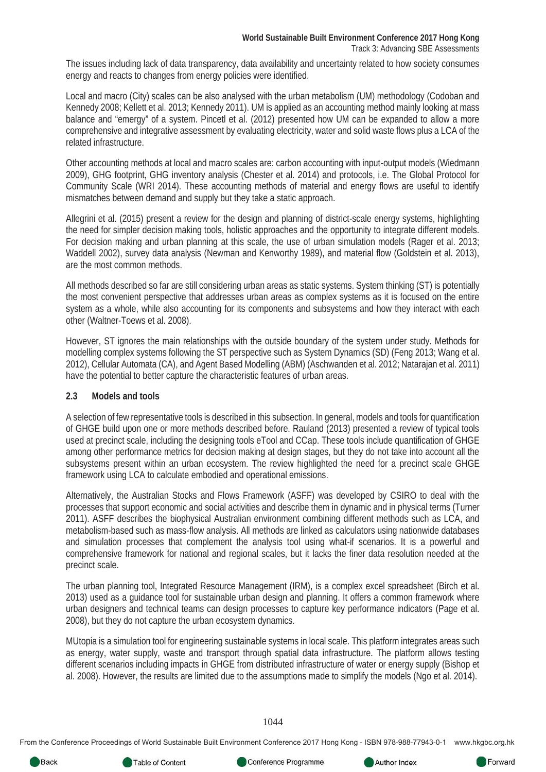The issues including lack of data transparency, data availability and uncertainty related to how society consumes energy and reacts to changes from energy policies were identified.

Local and macro (City) scales can be also analysed with the urban metabolism (UM) methodology (Codoban and Kennedy 2008; Kellett et al. 2013; Kennedy 2011). UM is applied as an accounting method mainly looking at mass balance and "emergy" of a system. Pincetl et al. (2012) presented how UM can be expanded to allow a more comprehensive and integrative assessment by evaluating electricity, water and solid waste flows plus a LCA of the related infrastructure.

Other accounting methods at local and macro scales are: carbon accounting with input-output models (Wiedmann 2009), GHG footprint, GHG inventory analysis (Chester et al. 2014) and protocols, i.e. The Global Protocol for Community Scale (WRI 2014). These accounting methods of material and energy flows are useful to identify mismatches between demand and supply but they take a static approach.

Allegrini et al. (2015) present a review for the design and planning of district-scale energy systems, highlighting the need for simpler decision making tools, holistic approaches and the opportunity to integrate different models. For decision making and urban planning at this scale, the use of urban simulation models (Rager et al. 2013; Waddell 2002), survey data analysis (Newman and Kenworthy 1989), and material flow (Goldstein et al. 2013), are the most common methods.

All methods described so far are still considering urban areas as static systems. System thinking (ST) is potentially the most convenient perspective that addresses urban areas as complex systems as it is focused on the entire system as a whole, while also accounting for its components and subsystems and how they interact with each other (Waltner-Toews et al. 2008).

However, ST ignores the main relationships with the outside boundary of the system under study. Methods for modelling complex systems following the ST perspective such as System Dynamics (SD) (Feng 2013; Wang et al. 2012), Cellular Automata (CA), and Agent Based Modelling (ABM) (Aschwanden et al. 2012; Natarajan et al. 2011) have the potential to better capture the characteristic features of urban areas.

#### **2.3 Models and tools**

A selection of few representative tools is described in this subsection. In general, models and tools for quantification of GHGE build upon one or more methods described before. Rauland (2013) presented a review of typical tools used at precinct scale, including the designing tools eTool and CCap. These tools include quantification of GHGE among other performance metrics for decision making at design stages, but they do not take into account all the subsystems present within an urban ecosystem. The review highlighted the need for a precinct scale GHGE framework using LCA to calculate embodied and operational emissions.

Alternatively, the Australian Stocks and Flows Framework (ASFF) was developed by CSIRO to deal with the processes that support economic and social activities and describe them in dynamic and in physical terms (Turner 2011). ASFF describes the biophysical Australian environment combining different methods such as LCA, and metabolism-based such as mass-flow analysis. All methods are linked as calculators using nationwide databases and simulation processes that complement the analysis tool using what-if scenarios. It is a powerful and comprehensive framework for national and regional scales, but it lacks the finer data resolution needed at the precinct scale.

The urban planning tool, Integrated Resource Management (IRM), is a complex excel spreadsheet (Birch et al. 2013) used as a guidance tool for sustainable urban design and planning. It offers a common framework where urban designers and technical teams can design processes to capture key performance indicators (Page et al. 2008), but they do not capture the urban ecosystem dynamics.

MUtopia is a simulation tool for engineering sustainable systems in local scale. This platform integrates areas such as energy, water supply, waste and transport through spatial data infrastructure. The platform allows testing different scenarios including impacts in GHGE from distributed infrastructure of water or energy supply (Bishop et al. 2008). However, the results are limited due to the assumptions made to simplify the models (Ngo et al. 2014).

#### 1044

From the Conference Proceedings of World Sustainable Built Environment Conference 2017 Hong Kong - ISBN 978-988-77943-0-1 www.hkgbc.org.hk



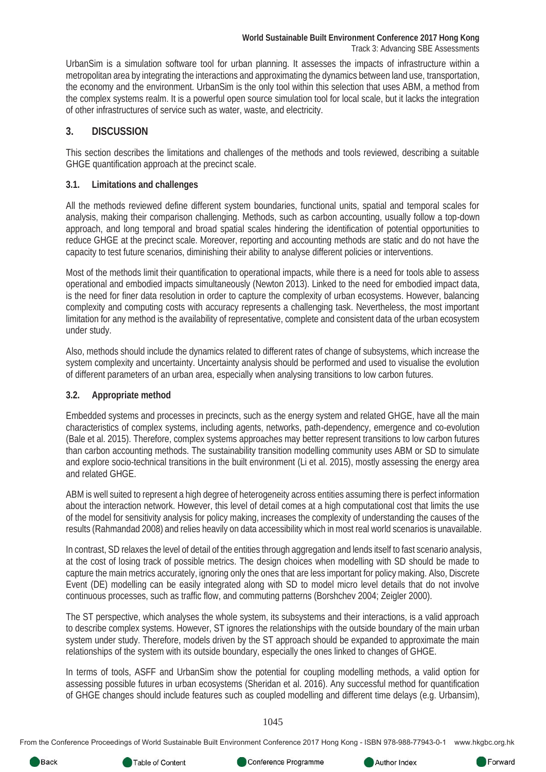UrbanSim is a simulation software tool for urban planning. It assesses the impacts of infrastructure within a metropolitan area by integrating the interactions and approximating the dynamics between land use, transportation, the economy and the environment. UrbanSim is the only tool within this selection that uses ABM, a method from the complex systems realm. It is a powerful open source simulation tool for local scale, but it lacks the integration of other infrastructures of service such as water, waste, and electricity.

#### **3. DISCUSSION**

This section describes the limitations and challenges of the methods and tools reviewed, describing a suitable GHGE quantification approach at the precinct scale.

#### **3.1. Limitations and challenges**

All the methods reviewed define different system boundaries, functional units, spatial and temporal scales for analysis, making their comparison challenging. Methods, such as carbon accounting, usually follow a top-down approach, and long temporal and broad spatial scales hindering the identification of potential opportunities to reduce GHGE at the precinct scale. Moreover, reporting and accounting methods are static and do not have the capacity to test future scenarios, diminishing their ability to analyse different policies or interventions.

Most of the methods limit their quantification to operational impacts, while there is a need for tools able to assess operational and embodied impacts simultaneously (Newton 2013). Linked to the need for embodied impact data, is the need for finer data resolution in order to capture the complexity of urban ecosystems. However, balancing complexity and computing costs with accuracy represents a challenging task. Nevertheless, the most important limitation for any method is the availability of representative, complete and consistent data of the urban ecosystem under study.

Also, methods should include the dynamics related to different rates of change of subsystems, which increase the system complexity and uncertainty. Uncertainty analysis should be performed and used to visualise the evolution of different parameters of an urban area, especially when analysing transitions to low carbon futures.

#### **3.2. Appropriate method**

Embedded systems and processes in precincts, such as the energy system and related GHGE, have all the main characteristics of complex systems, including agents, networks, path-dependency, emergence and co-evolution (Bale et al. 2015). Therefore, complex systems approaches may better represent transitions to low carbon futures than carbon accounting methods. The sustainability transition modelling community uses ABM or SD to simulate and explore socio-technical transitions in the built environment (Li et al. 2015), mostly assessing the energy area and related GHGE.

ABM is well suited to represent a high degree of heterogeneity across entities assuming there is perfect information about the interaction network. However, this level of detail comes at a high computational cost that limits the use of the model for sensitivity analysis for policy making, increases the complexity of understanding the causes of the results (Rahmandad 2008) and relies heavily on data accessibility which in most real world scenarios is unavailable.

In contrast, SD relaxes the level of detail of the entities through aggregation and lends itself to fast scenario analysis, at the cost of losing track of possible metrics. The design choices when modelling with SD should be made to capture the main metrics accurately, ignoring only the ones that are less important for policy making. Also, Discrete Event (DE) modelling can be easily integrated along with SD to model micro level details that do not involve continuous processes, such as traffic flow, and commuting patterns (Borshchev 2004; Zeigler 2000).

The ST perspective, which analyses the whole system, its subsystems and their interactions, is a valid approach to describe complex systems. However, ST ignores the relationships with the outside boundary of the main urban system under study. Therefore, models driven by the ST approach should be expanded to approximate the main relationships of the system with its outside boundary, especially the ones linked to changes of GHGE.

In terms of tools, ASFF and UrbanSim show the potential for coupling modelling methods, a valid option for assessing possible futures in urban ecosystems (Sheridan et al. 2016). Any successful method for quantification of GHGE changes should include features such as coupled modelling and different time delays (e.g. Urbansim),

1045

From the Conference Proceedings of World Sustainable Built Environment Conference 2017 Hong Kong - ISBN 978-988-77943-0-1 www.hkgbc.org.hk

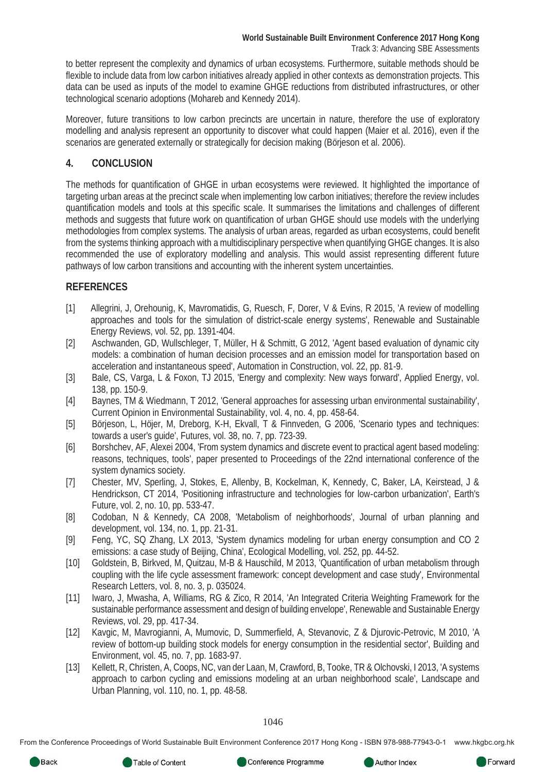to better represent the complexity and dynamics of urban ecosystems. Furthermore, suitable methods should be flexible to include data from low carbon initiatives already applied in other contexts as demonstration projects. This data can be used as inputs of the model to examine GHGE reductions from distributed infrastructures, or other technological scenario adoptions (Mohareb and Kennedy 2014).

Moreover, future transitions to low carbon precincts are uncertain in nature, therefore the use of exploratory modelling and analysis represent an opportunity to discover what could happen (Maier et al. 2016), even if the scenarios are generated externally or strategically for decision making (Börjeson et al. 2006).

#### **4. CONCLUSION**

The methods for quantification of GHGE in urban ecosystems were reviewed. It highlighted the importance of targeting urban areas at the precinct scale when implementing low carbon initiatives; therefore the review includes quantification models and tools at this specific scale. It summarises the limitations and challenges of different methods and suggests that future work on quantification of urban GHGE should use models with the underlying methodologies from complex systems. The analysis of urban areas, regarded as urban ecosystems, could benefit from the systems thinking approach with a multidisciplinary perspective when quantifying GHGE changes. It is also recommended the use of exploratory modelling and analysis. This would assist representing different future pathways of low carbon transitions and accounting with the inherent system uncertainties.

#### **REFERENCES**

- [1] Allegrini, J, Orehounig, K, Mavromatidis, G, Ruesch, F, Dorer, V & Evins, R 2015, 'A review of modelling approaches and tools for the simulation of district-scale energy systems', Renewable and Sustainable Energy Reviews, vol. 52, pp. 1391-404.
- [2] Aschwanden, GD, Wullschleger, T, Müller, H & Schmitt, G 2012, 'Agent based evaluation of dynamic city models: a combination of human decision processes and an emission model for transportation based on acceleration and instantaneous speed', Automation in Construction, vol. 22, pp. 81-9.
- [3] Bale, CS, Varga, L & Foxon, TJ 2015, 'Energy and complexity: New ways forward', Applied Energy, vol. 138, pp. 150-9.
- [4] Baynes, TM & Wiedmann, T 2012, 'General approaches for assessing urban environmental sustainability', Current Opinion in Environmental Sustainability, vol. 4, no. 4, pp. 458-64.
- [5] Börjeson, L, Höjer, M, Dreborg, K-H, Ekvall, T & Finnveden, G 2006, 'Scenario types and techniques: towards a user's guide', Futures, vol. 38, no. 7, pp. 723-39.
- [6] Borshchev, AF, Alexei 2004, 'From system dynamics and discrete event to practical agent based modeling: reasons, techniques, tools', paper presented to Proceedings of the 22nd international conference of the system dynamics society.
- [7] Chester, MV, Sperling, J, Stokes, E, Allenby, B, Kockelman, K, Kennedy, C, Baker, LA, Keirstead, J & Hendrickson, CT 2014, 'Positioning infrastructure and technologies for low-carbon urbanization', Earth's Future, vol. 2, no. 10, pp. 533-47.
- [8] Codoban, N & Kennedy, CA 2008, 'Metabolism of neighborhoods', Journal of urban planning and development, vol. 134, no. 1, pp. 21-31.
- [9] Feng, YC, SQ Zhang, LX 2013, 'System dynamics modeling for urban energy consumption and CO 2 emissions: a case study of Beijing, China', Ecological Modelling, vol. 252, pp. 44-52.
- [10] Goldstein, B, Birkved, M, Quitzau, M-B & Hauschild, M 2013, 'Quantification of urban metabolism through coupling with the life cycle assessment framework: concept development and case study', Environmental Research Letters, vol. 8, no. 3, p. 035024.
- [11] Iwaro, J, Mwasha, A, Williams, RG & Zico, R 2014, 'An Integrated Criteria Weighting Framework for the sustainable performance assessment and design of building envelope', Renewable and Sustainable Energy Reviews, vol. 29, pp. 417-34.
- [12] Kavgic, M, Mavrogianni, A, Mumovic, D, Summerfield, A, Stevanovic, Z & Djurovic-Petrovic, M 2010, 'A review of bottom-up building stock models for energy consumption in the residential sector', Building and Environment, vol. 45, no. 7, pp. 1683-97.
- [13] Kellett, R, Christen, A, Coops, NC, van der Laan, M, Crawford, B, Tooke, TR & Olchovski, I 2013, 'A systems approach to carbon cycling and emissions modeling at an urban neighborhood scale', Landscape and Urban Planning, vol. 110, no. 1, pp. 48-58.

1046

From the Conference Proceedings of World Sustainable Built Environment Conference 2017 Hong Kong - ISBN 978-988-77943-0-1 www.hkgbc.org.hk



Author Index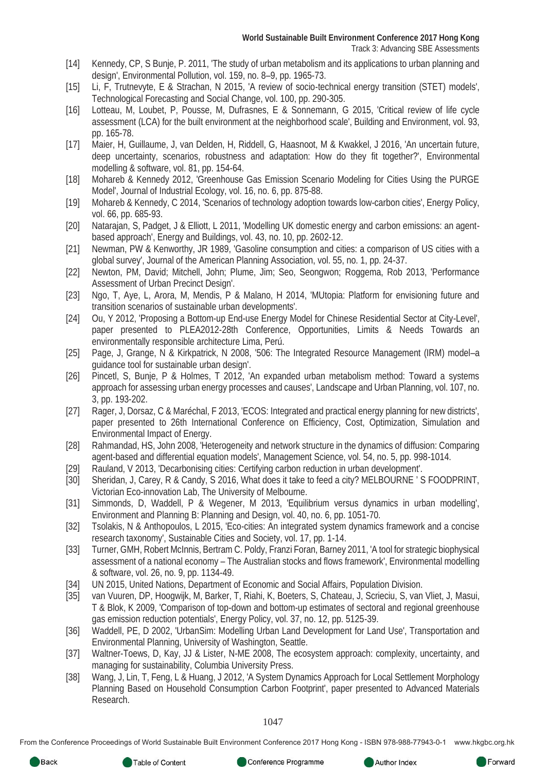- [14] Kennedy, CP, S Bunje, P. 2011, 'The study of urban metabolism and its applications to urban planning and design', Environmental Pollution, vol. 159, no. 8–9, pp. 1965-73.
- [15] Li, F, Trutnevyte, E & Strachan, N 2015, 'A review of socio-technical energy transition (STET) models', Technological Forecasting and Social Change, vol. 100, pp. 290-305.
- [16] Lotteau, M, Loubet, P, Pousse, M, Dufrasnes, E & Sonnemann, G 2015, 'Critical review of life cycle assessment (LCA) for the built environment at the neighborhood scale', Building and Environment, vol. 93, pp. 165-78.
- [17] Maier, H, Guillaume, J, van Delden, H, Riddell, G, Haasnoot, M & Kwakkel, J 2016, 'An uncertain future, deep uncertainty, scenarios, robustness and adaptation: How do they fit together?', Environmental modelling & software, vol. 81, pp. 154-64.
- [18] Mohareb & Kennedy 2012, 'Greenhouse Gas Emission Scenario Modeling for Cities Using the PURGE Model', Journal of Industrial Ecology, vol. 16, no. 6, pp. 875-88.
- [19] Mohareb & Kennedy, C 2014, 'Scenarios of technology adoption towards low-carbon cities', Energy Policy, vol. 66, pp. 685-93.
- [20] Natarajan, S, Padget, J & Elliott, L 2011, 'Modelling UK domestic energy and carbon emissions: an agentbased approach', Energy and Buildings, vol. 43, no. 10, pp. 2602-12.
- [21] Newman, PW & Kenworthy, JR 1989, 'Gasoline consumption and cities: a comparison of US cities with a global survey', Journal of the American Planning Association, vol. 55, no. 1, pp. 24-37.
- [22] Newton, PM, David; Mitchell, John; Plume, Jim; Seo, Seongwon; Roggema, Rob 2013, 'Performance Assessment of Urban Precinct Design'.
- [23] Ngo, T, Aye, L, Arora, M, Mendis, P & Malano, H 2014, 'MUtopia: Platform for envisioning future and transition scenarios of sustainable urban developments'.
- [24] Ou, Y 2012, 'Proposing a Bottom-up End-use Energy Model for Chinese Residential Sector at City-Level', paper presented to PLEA2012-28th Conference, Opportunities, Limits & Needs Towards an environmentally responsible architecture Lima, Perú.
- [25] Page, J, Grange, N & Kirkpatrick, N 2008, '506: The Integrated Resource Management (IRM) model–a guidance tool for sustainable urban design'.
- [26] Pincetl, S, Bunje, P & Holmes, T 2012, 'An expanded urban metabolism method: Toward a systems approach for assessing urban energy processes and causes', Landscape and Urban Planning, vol. 107, no. 3, pp. 193-202.
- [27] Rager, J, Dorsaz, C & Maréchal, F 2013, 'ECOS: Integrated and practical energy planning for new districts', paper presented to 26th International Conference on Efficiency, Cost, Optimization, Simulation and Environmental Impact of Energy.
- [28] Rahmandad, HS, John 2008, 'Heterogeneity and network structure in the dynamics of diffusion: Comparing agent-based and differential equation models', Management Science, vol. 54, no. 5, pp. 998-1014.
- [29] Rauland, V 2013, 'Decarbonising cities: Certifying carbon reduction in urban development'.
- [30] Sheridan, J, Carey, R & Candy, S 2016, What does it take to feed a city? MELBOURNE ' S FOODPRINT, Victorian Eco-innovation Lab, The University of Melbourne.
- [31] Simmonds, D, Waddell, P & Wegener, M 2013, 'Equilibrium versus dynamics in urban modelling', Environment and Planning B: Planning and Design, vol. 40, no. 6, pp. 1051-70.
- [32] Tsolakis, N & Anthopoulos, L 2015, 'Eco-cities: An integrated system dynamics framework and a concise research taxonomy', Sustainable Cities and Society, vol. 17, pp. 1-14.
- [33] Turner, GMH, Robert McInnis, Bertram C. Poldy, Franzi Foran, Barney 2011, 'A tool for strategic biophysical assessment of a national economy – The Australian stocks and flows framework', Environmental modelling & software, vol. 26, no. 9, pp. 1134-49.
- [34] UN 2015, United Nations, Department of Economic and Social Affairs, Population Division.
- [35] van Vuuren, DP, Hoogwijk, M, Barker, T, Riahi, K, Boeters, S, Chateau, J, Scrieciu, S, van Vliet, J, Masui, T & Blok, K 2009, 'Comparison of top-down and bottom-up estimates of sectoral and regional greenhouse gas emission reduction potentials', Energy Policy, vol. 37, no. 12, pp. 5125-39.
- [36] Waddell, PE, D 2002, 'UrbanSim: Modelling Urban Land Development for Land Use', Transportation and Environmental Planning, University of Washington, Seattle.
- [37] Waltner-Toews, D, Kay, JJ & Lister, N-ME 2008, The ecosystem approach: complexity, uncertainty, and managing for sustainability, Columbia University Press.
- [38] Wang, J, Lin, T, Feng, L & Huang, J 2012, 'A System Dynamics Approach for Local Settlement Morphology Planning Based on Household Consumption Carbon Footprint', paper presented to Advanced Materials Research.

1047

From the Conference Proceedings of World Sustainable Built Environment Conference 2017 Hong Kong - ISBN 978-988-77943-0-1 www.hkgbc.org.hk



Author Index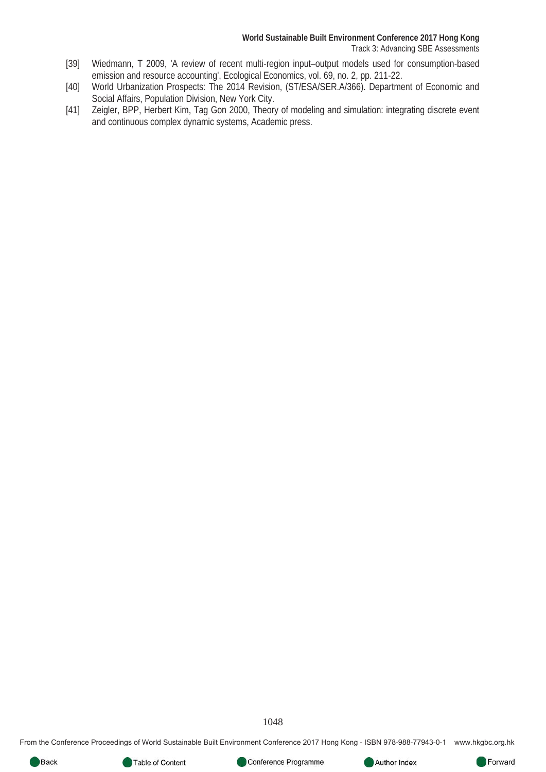- [39] Wiedmann, T 2009, 'A review of recent multi-region input–output models used for consumption-based emission and resource accounting', Ecological Economics, vol. 69, no. 2, pp. 211-22.
- [40] World Urbanization Prospects: The 2014 Revision, (ST/ESA/SER.A/366). Department of Economic and Social Affairs, Population Division, New York City.
- [41] Zeigler, BPP, Herbert Kim, Tag Gon 2000, Theory of modeling and simulation: integrating discrete event and continuous complex dynamic systems, Academic press.

1048

From the Conference Proceedings of World Sustainable Built Environment Conference 2017 Hong Kong - ISBN 978-988-77943-0-1 www.hkgbc.org.hk



Author Index